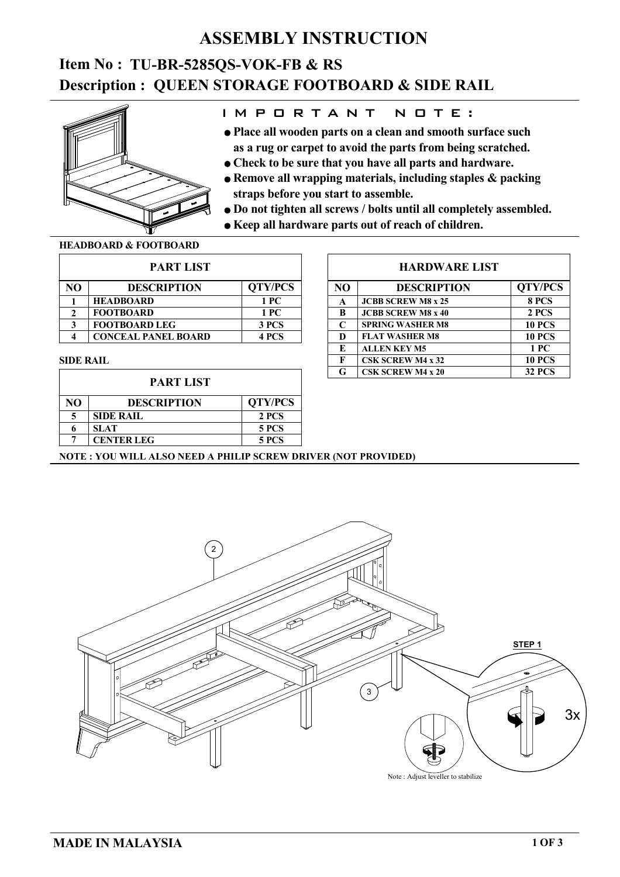### **ASSEMBLY INSTRUCTION**

# **Description : QUEEN STORAGE FOOTBOARD & SIDE RAIL Item No : TU-BR-5285QS-VOK-FB & RS**



### I M P O R T A N T N O T E :

- **as a rug or carpet to avoid the parts from being scratched. Place all wooden parts on a clean and smooth surface such**
- **Check to be sure that you have all parts and hardware.**
- **straps before you start to assemble. Remove all wrapping materials, including staples & packing**
- **Do not tighten all screws / bolts until all completely assembled.**
- **Keep all hardware parts out of reach of children.**

#### **HEADBOARD & FOOTBOARD**

| <b>PART LIST</b> |                            |                |  |  |
|------------------|----------------------------|----------------|--|--|
| NΟ               | <b>DESCRIPTION</b>         | <b>QTY/PCS</b> |  |  |
|                  | <b>HEADBOARD</b>           | 1 PC           |  |  |
| 2                | <b>FOOTBOARD</b>           | 1 PC           |  |  |
| 3                | <b>FOOTBOARD LEG</b>       | 3 PCS          |  |  |
|                  | <b>CONCEAL PANEL BOARD</b> | 4 PCS          |  |  |

#### **SIDE RAIL**

| <b>PART LIST</b> |                    |                |  |  |
|------------------|--------------------|----------------|--|--|
| NΟ               | <b>DESCRIPTION</b> | <b>QTY/PCS</b> |  |  |
|                  | <b>SIDE RAIL</b>   | 2 PCS          |  |  |
|                  | <b>SLAT</b>        | 5 PCS          |  |  |
|                  | <b>CENTER LEG</b>  | <b>5 PCS</b>   |  |  |

### **HARDWARE LIST**

| N <sub>O</sub> | <b>DESCRIPTION</b>        | <b>QTY/PCS</b> |  |
|----------------|---------------------------|----------------|--|
| A              | <b>JCBB SCREW M8 x 25</b> | 8 PCS          |  |
| R              | <b>JCBB SCREW M8 x 40</b> | 2 PCS          |  |
| $\mathsf{C}$   | <b>SPRING WASHER M8</b>   | <b>10 PCS</b>  |  |
| D              | <b>FLAT WASHER M8</b>     | <b>10 PCS</b>  |  |
| E              | <b>ALLEN KEY M5</b>       | 1 PC           |  |
| F              | <b>CSK SCREW M4 x 32</b>  | <b>10 PCS</b>  |  |
| G              | <b>CSK SCREW M4 x 20</b>  | <b>32 PCS</b>  |  |

### **NOTE : YOU WILL ALSO NEED A PHILIP SCREW DRIVER (NOT PROVIDED)**

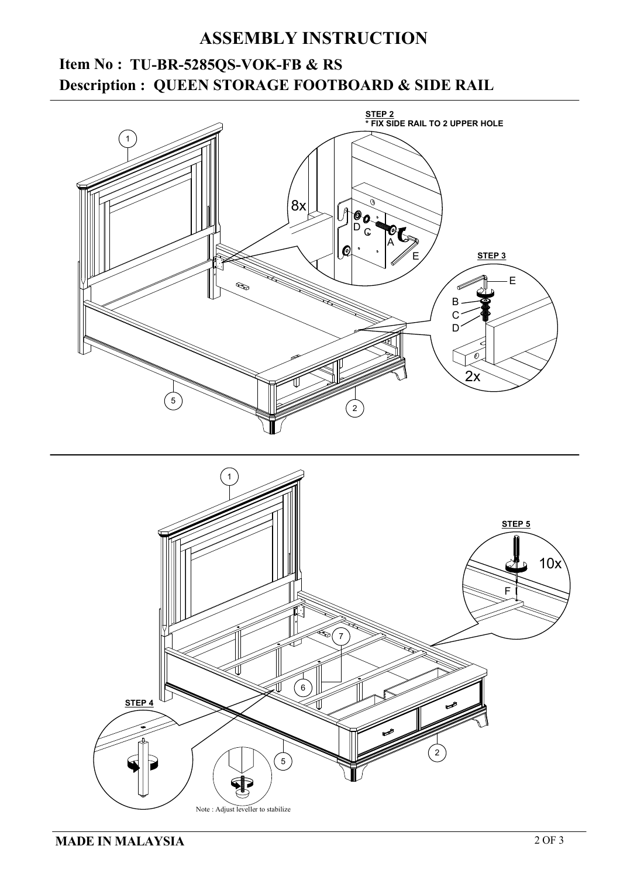## **ASSEMBLY INSTRUCTION**

# **QUEEN STORAGE FOOTBOARD & SIDE RAIL Description : Item No : TU-BR-5285QS-VOK-FB & RS**